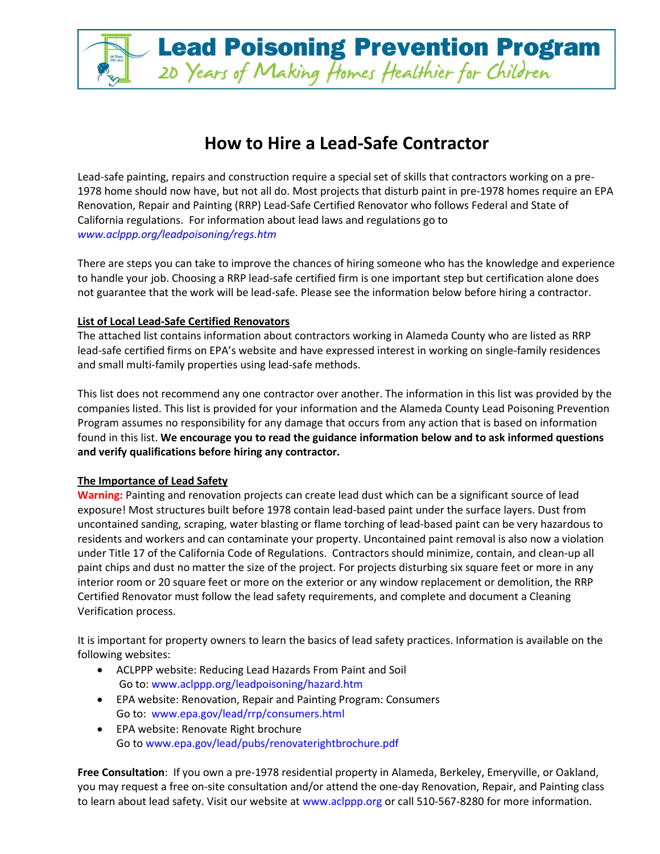## **How to Hire a Lead-Safe Contractor**

20 Years of Making Homes Healthier for Children

**Lead Poisoning Prevention Program** 

Lead-safe painting, repairs and construction require a special set of skills that contractors working on a pre-1978 home should now have, but not all do. Most projects that disturb paint in pre-1978 homes require an EPA Renovation, Repair and Painting (RRP) Lead-Safe Certified Renovator who follow[s Federal and State of](http://www.aclppp.org/leadpoisoning/regs.htm)  [California regulations.](http://www.aclppp.org/leadpoisoning/regs.htm) For information about lead laws and regulations go to *[www.aclppp.org/leadpoisoning/regs.htm](http://www.aclppp.org/leadpoisoning/regs.htm)* 

There are steps you can take to improve the chances of hiring someone who has the knowledge and experience to handle your job. Choosing a RRP lead-safe certified firm is one important step but certification alone does not guarantee that the work will be lead-safe. Please see the information below before hiring a contractor.

## **List of Local Lead-Safe Certified Renovators**

The attached list contains information about contractors working in Alameda County who are listed as RRP lead-safe certified firms on EPA's website and have expressed interest in working on single-family residences and small multi-family properties using lead-safe methods.

This list does not recommend any one contractor over another. The information in this list was provided by the companies listed. This list is provided for your information and the Alameda County Lead Poisoning Prevention Program assumes no responsibility for any damage that occurs from any action that is based on information found in this list. **We encourage you to read the guidance information below and to ask informed questions and verify qualifications before hiring any contractor.**

## **The Importance of Lead Safety**

**Warning:** Painting and renovation projects can create lead dust which can be a significant source of lead exposure! Most structures built before 1978 contain lead-based paint under the surface layers. Dust from uncontained sanding, scraping, water blasting or flame torching of lead-based paint can be very hazardous to residents and workers and can contaminate your property. Uncontained paint removal is also now a violation under Title 17 of the California Code of Regulations. Contractors should minimize, contain, and clean-up all paint chips and dust no matter the size of the project. For projects disturbing six square feet or more in any interior room or 20 square feet or more on the exterior or any window replacement or demolition, the RRP Certified Renovator must follow the lead safety requirements, and complete and document a Cleaning Verification process.

It is important for property owners to learn the basics of lead safety practices. Information is available on the following websites:

- ACLPPP website: [Reducing Lead Hazards From Paint and Soil](http://www.epa.gov/lead/rrp/consumers.html) Go to[: www.aclppp.org/leadpoisoning/hazard.htm](http://www.aclppp.org/leadpoisoning/hazard.htm)
- EPA website[: Renovation, Repair and Painting Program: Consumers](http://www.epa.gov/lead/rrp/consumers.html)  Go to: [www.epa.gov/lead/rrp/consumers.html](http://www.epa.gov/lead/rrp/consumers.html)
- EPA website[: Renovate Right brochure](http://www.epa.gov/lead/pubs/renovaterightbrochure.pdf)  Go to [www.epa.gov/lead/pubs/renovaterightbrochure.pdf](http://www.epa.gov/lead/pubs/renovaterightbrochure.pdf)

**Free Consultation**: If you own a pre-1978 residential property in Alameda, Berkeley, Emeryville, or Oakland, you may request a [free on-site consultation](http://www.aclppp.org/programs/propsvc.htm) and/or attend the one-day [Renovation, Repair, and Painting class](http://www.aclppp.org/classes/leadtrain.htm) to learn about lead safety. Visit our website a[t www.aclppp.org](http://www.aclppp.org/) or call 510-567-8280 for more information.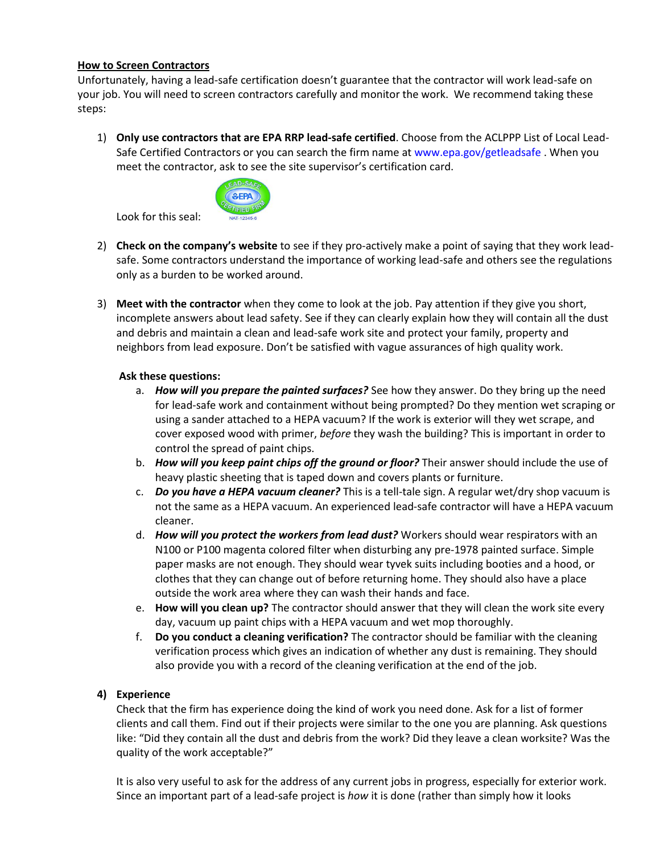## **How to Screen Contractors**

Unfortunately, having a lead-safe certification doesn't guarantee that the contractor will work lead-safe on your job. You will need to screen contractors carefully and monitor the work. We recommend taking these steps:

1) **Only use contractors that are EPA RRP lead-safe certified**. Choose from the ACLPPP List of Local Lead-Safe Certified Contractors or you can search the firm name at [www.epa.gov/getleadsafe](http://www.epa.gov/getleadsafe) . When you meet the contractor, ask to see the site supervisor's certification card.



Look for this seal:

- 2) **Check on the company's website** to see if they pro-actively make a point of saying that they work leadsafe. Some contractors understand the importance of working lead-safe and others see the regulations only as a burden to be worked around.
- 3) **Meet with the contractor** when they come to look at the job. Pay attention if they give you short, incomplete answers about lead safety. See if they can clearly explain how they will contain all the dust and debris and maintain a clean and lead-safe work site and protect your family, property and neighbors from lead exposure. Don't be satisfied with vague assurances of high quality work.

## **Ask these questions:**

- a. *How will you prepare the painted surfaces?* See how they answer. Do they bring up the need for lead-safe work and containment without being prompted? Do they mention wet scraping or using a sander attached to a HEPA vacuum? If the work is exterior will they wet scrape, and cover exposed wood with primer, *before* they wash the building? This is important in order to control the spread of paint chips.
- b. *How will you keep paint chips off the ground or floor?* Their answer should include the use of heavy plastic sheeting that is taped down and covers plants or furniture.
- c. *Do you have a HEPA vacuum cleaner?* This is a tell-tale sign. A regular wet/dry shop vacuum is not the same as a HEPA vacuum. An experienced lead-safe contractor will have a HEPA vacuum cleaner.
- d. *How will you protect the workers from lead dust?* Workers should wear respirators with an N100 or P100 magenta colored filter when disturbing any pre-1978 painted surface. Simple paper masks are not enough. They should wear tyvek suits including booties and a hood, or clothes that they can change out of before returning home. They should also have a place outside the work area where they can wash their hands and face.
- e. **How will you clean up?** The contractor should answer that they will clean the work site every day, vacuum up paint chips with a HEPA vacuum and wet mop thoroughly.
- f. **Do you conduct a cleaning verification?** The contractor should be familiar with the cleaning verification process which gives an indication of whether any dust is remaining. They should also provide you with a record of the cleaning verification at the end of the job.

## **4) Experience**

Check that the firm has experience doing the kind of work you need done. Ask for a list of former clients and call them. Find out if their projects were similar to the one you are planning. Ask questions like: "Did they contain all the dust and debris from the work? Did they leave a clean worksite? Was the quality of the work acceptable?"

It is also very useful to ask for the address of any current jobs in progress, especially for exterior work. Since an important part of a lead-safe project is *how* it is done (rather than simply how it looks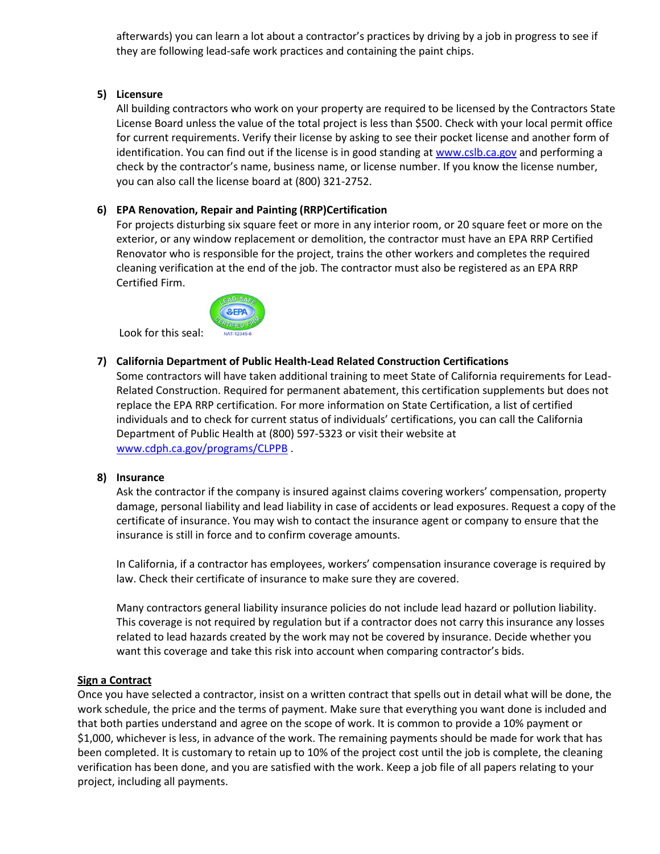afterwards) you can learn a lot about a contractor's practices by driving by a job in progress to see if they are following lead-safe work practices and containing the paint chips.

## **5) Licensure**

All building contractors who work on your property are required to be licensed by the Contractors State License Board unless the value of the total project is less than \$500. Check with your local permit office for current requirements. Verify their license by asking to see their pocket license and another form of identification. You can find out if the license is in good standing at [www.cslb.ca.gov](http://www.cslb.ca.gov/) and performing a check by the contractor's name, business name, or license number. If you know the license number, you can also call the license board at (800) 321-2752.

## **6) EPA Renovation, Repair and Painting (RRP)Certification**

For projects disturbing six square feet or more in any interior room, or 20 square feet or more on the exterior, or any window replacement or demolition, the contractor must have an EPA RRP Certified Renovator who is responsible for the project, trains the other workers and completes the required cleaning verification at the end of the job. The contractor must also be registered as an EPA RRP Certified Firm.



## **7) California Department of Public Health-Lead Related Construction Certifications**

Some contractors will have taken additional training to meet State of California requirements for Lead-Related Construction. Required for permanent abatement, this certification supplements but does not replace the EPA RRP certification. For more information on State Certification, a list of certified individuals and to check for current status of individuals' certifications, you can call the California Department of Public Health at (800) 597-5323 or visit their website at [www.cdph.ca.gov/programs/CLPPB](http://www.cdph.ca.gov/programs/CLPPB) .

## **8) Insurance**

Ask the contractor if the company is insured against claims covering workers' compensation, property damage, personal liability and lead liability in case of accidents or lead exposures. Request a copy of the certificate of insurance. You may wish to contact the insurance agent or company to ensure that the insurance is still in force and to confirm coverage amounts.

In California, if a contractor has employees, workers' compensation insurance coverage is required by law. Check their certificate of insurance to make sure they are covered.

Many contractors general liability insurance policies do not include lead hazard or pollution liability. This coverage is not required by regulation but if a contractor does not carry this insurance any losses related to lead hazards created by the work may not be covered by insurance. Decide whether you want this coverage and take this risk into account when comparing contractor's bids.

## **Sign a Contract**

Once you have selected a contractor, insist on a written contract that spells out in detail what will be done, the work schedule, the price and the terms of payment. Make sure that everything you want done is included and that both parties understand and agree on the scope of work. It is common to provide a 10% payment or \$1,000, whichever is less, in advance of the work. The remaining payments should be made for work that has been completed. It is customary to retain up to 10% of the project cost until the job is complete, the cleaning verification has been done, and you are satisfied with the work. Keep a job file of all papers relating to your project, including all payments.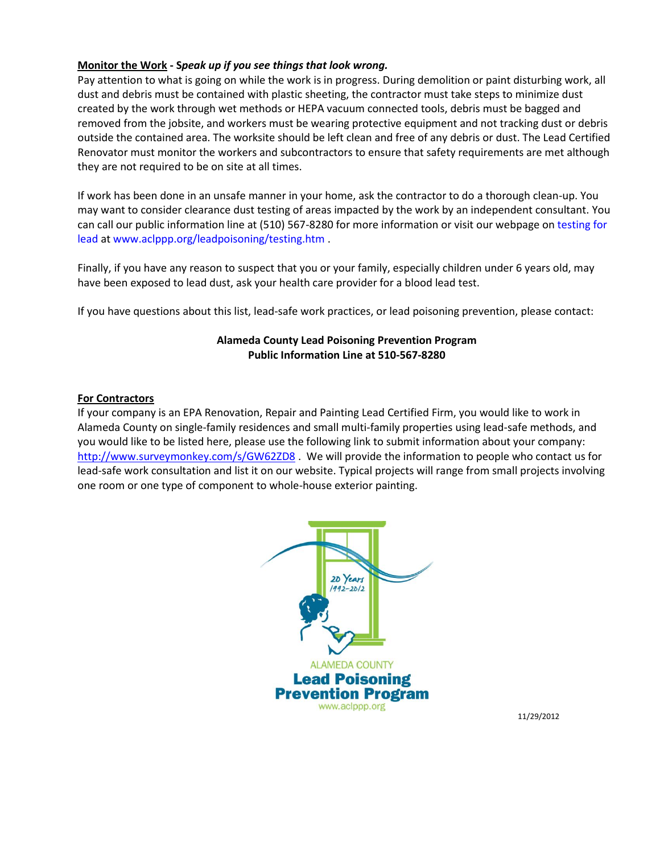## **Monitor the Work - S***peak up if you see things that look wrong.*

Pay attention to what is going on while the work is in progress. During demolition or paint disturbing work, all dust and debris must be contained with plastic sheeting, the contractor must take steps to minimize dust created by the work through wet methods or HEPA vacuum connected tools, debris must be bagged and removed from the jobsite, and workers must be wearing protective equipment and not tracking dust or debris outside the contained area. The worksite should be left clean and free of any debris or dust. The Lead Certified Renovator must monitor the workers and subcontractors to ensure that safety requirements are met although they are not required to be on site at all times.

If work has been done in an unsafe manner in your home, ask the contractor to do a thorough clean-up. You may want to consider clearance dust testing of areas impacted by the work by an independent consultant. You can call our public information line at (510) 567-8280 for more information or visit our webpage on [testing for](http://www.aclppp.org/leadpoisoning/testing.htm)  [lead](http://www.aclppp.org/leadpoisoning/testing.htm) at www.aclppp.org/leadpoisoning/testing.htm .

Finally, if you have any reason to suspect that you or your family, especially children under 6 years old, may have been exposed to lead dust, ask your health care provider for a blood lead test.

If you have questions about this list, lead-safe work practices, or lead poisoning prevention, please contact:

## **Alameda County Lead Poisoning Prevention Program Public Information Line at 510-567-8280**

#### **For Contractors**

If your company is an EPA Renovation, Repair and Painting Lead Certified Firm, you would like to work in Alameda County on single-family residences and small multi-family properties using lead-safe methods, and you would like to be listed here, please use the following link to submit information about your company: <http://www.surveymonkey.com/s/GW62ZD8>. We will provide the information to people who contact us for lead-safe work consultation and list it on our website. Typical projects will range from small projects involving one room or one type of component to whole-house exterior painting.



11/29/2012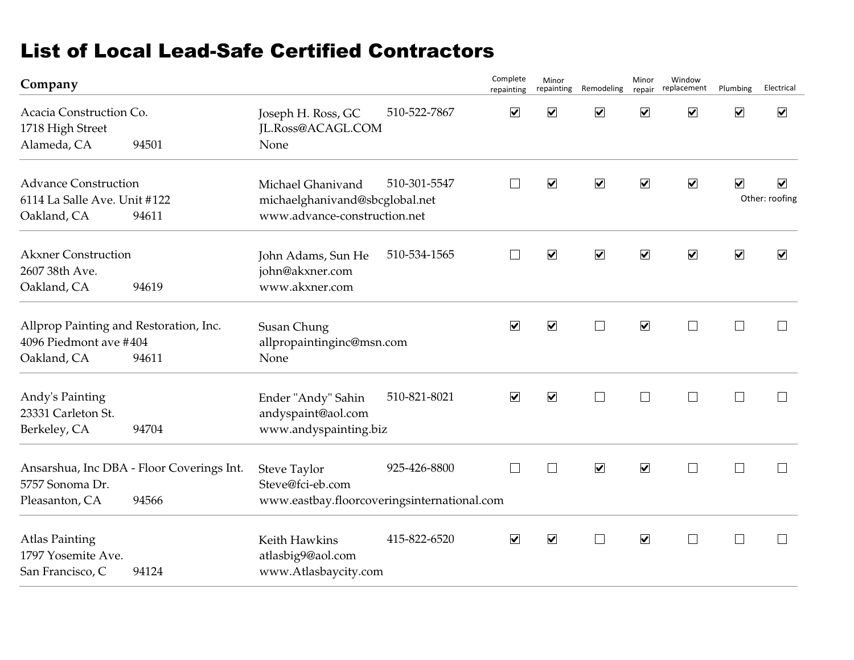# List of Local Lead-Safe Certified Contractors

| Company                                                                         |                                                    |                                                                                     |              | Complete<br>repainting   | Minor                   | repainting Remodeling        | Minor<br>repair              | Window<br>replacement    | Plumbing             | Electrical           |
|---------------------------------------------------------------------------------|----------------------------------------------------|-------------------------------------------------------------------------------------|--------------|--------------------------|-------------------------|------------------------------|------------------------------|--------------------------|----------------------|----------------------|
| Acacia Construction Co.<br>1718 High Street<br>Alameda, CA                      | 94501                                              | Joseph H. Ross, GC<br>JL.Ross@ACAGL.COM<br>None                                     | 510-522-7867 | $\blacktriangledown$     | $\blacktriangledown$    | $\boxed{\blacktriangledown}$ | $\boxed{\blacktriangledown}$ | $\blacktriangledown$     | $\blacktriangledown$ | $\blacktriangledown$ |
| <b>Advance Construction</b><br>6114 La Salle Ave. Unit #122<br>Oakland, CA      | 94611                                              | Michael Ghanivand<br>michaelghanivand@sbcglobal.net<br>www.advance-construction.net | 510-301-5547 | $\mathbf{I}$             | $\blacktriangledown$    | $\overline{\mathbf{v}}$      | $\blacktriangledown$         | $\blacktriangledown$     | $\blacktriangledown$ | ☑<br>Other: roofing  |
| <b>Akxner Construction</b><br>2607 38th Ave.<br>Oakland, CA                     | 94619                                              | John Adams, Sun He<br>john@akxner.com<br>www.akxner.com                             | 510-534-1565 | $\mathbf{L}$             | $\overline{\mathbf{v}}$ | $\boxed{\blacktriangledown}$ | $\blacktriangledown$         | $\blacktriangledown$     | $\blacktriangledown$ | $\blacktriangledown$ |
| Allprop Painting and Restoration, Inc.<br>4096 Piedmont ave #404<br>Oakland, CA | 94611                                              | Susan Chung<br>allpropaintinginc@msn.com<br>None                                    |              | $\blacktriangledown$     | $\overline{\mathbf{v}}$ | $\Box$                       | $\blacktriangledown$         | $\overline{\phantom{a}}$ |                      | $\Box$               |
| Andy's Painting<br>23331 Carleton St.<br>Berkeley, CA                           | 94704                                              | Ender "Andy" Sahin<br>andyspaint@aol.com<br>www.andyspainting.biz                   | 510-821-8021 | $\blacktriangledown$     | $\blacktriangledown$    | $\Box$                       | $\Box$                       | $\Box$                   | $\perp$              | $\mathbf{L}$         |
| 5757 Sonoma Dr.<br>Pleasanton, CA                                               | Ansarshua, Inc DBA - Floor Coverings Int.<br>94566 | Steve Taylor<br>Steve@fci-eb.com<br>www.eastbay.floorcoveringsinternational.com     | 925-426-8800 | $\overline{\phantom{a}}$ | $\Box$                  | $\blacktriangledown$         | $\blacktriangledown$         | $\Box$                   | $\perp$              | $\Box$               |
| <b>Atlas Painting</b><br>1797 Yosemite Ave.<br>San Francisco, C                 | 94124                                              | Keith Hawkins<br>atlasbig9@aol.com<br>www.Atlasbaycity.com                          | 415-822-6520 | $\blacktriangledown$     | $\blacktriangledown$    | $\Box$                       | $\blacktriangledown$         | $\Box$                   |                      | $\Box$               |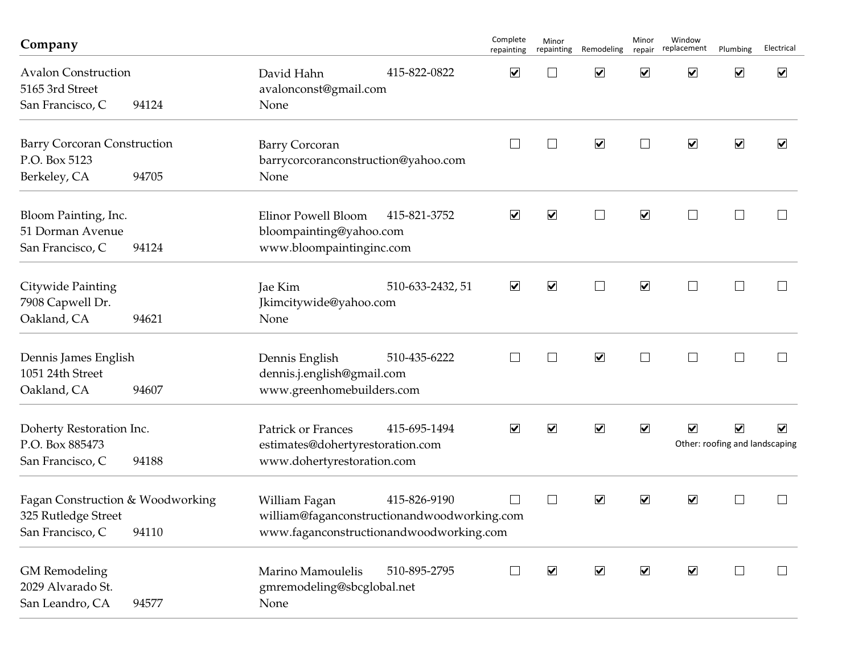| Company                                                                              |       |                                                                                                         |                  | Complete<br>repainting   | Minor<br>repainting  | Remodeling                   | Minor<br>repair      | Window<br>replacement   | Plumbing                                               | Electrical           |
|--------------------------------------------------------------------------------------|-------|---------------------------------------------------------------------------------------------------------|------------------|--------------------------|----------------------|------------------------------|----------------------|-------------------------|--------------------------------------------------------|----------------------|
| <b>Avalon Construction</b><br>5165 3rd Street<br>San Francisco, C                    | 94124 | David Hahn<br>avalonconst@gmail.com<br>None                                                             | 415-822-0822     | $\blacktriangledown$     |                      | $\blacktriangledown$         | $\blacktriangledown$ | $\blacktriangledown$    | $\blacktriangledown$                                   | $\blacktriangledown$ |
| <b>Barry Corcoran Construction</b><br>P.O. Box 5123<br>Berkeley, CA                  | 94705 | <b>Barry Corcoran</b><br>barrycorcoranconstruction@yahoo.com<br>None                                    |                  | $\overline{\phantom{a}}$ | $\vert \ \ \vert$    | $\blacktriangledown$         | $\Box$               | $\overline{\mathbf{v}}$ | $\blacktriangledown$                                   | $\blacktriangledown$ |
| Bloom Painting, Inc.<br>51 Dorman Avenue<br>San Francisco, C                         | 94124 | Elinor Powell Bloom<br>bloompainting@yahoo.com<br>www.bloompaintinginc.com                              | 415-821-3752     | $\blacktriangledown$     | $\blacktriangledown$ | $\Box$                       | $\blacktriangledown$ | $\Box$                  | $\vert \ \ \vert$                                      | $\mathbf{I}$         |
| Citywide Painting<br>7908 Capwell Dr.<br>Oakland, CA                                 | 94621 | Jae Kim<br>Jkimcitywide@yahoo.com<br>None                                                               | 510-633-2432, 51 | $\blacktriangledown$     | $\blacktriangledown$ | $\Box$                       | $\blacktriangledown$ | $\Box$                  |                                                        |                      |
| Dennis James English<br>1051 24th Street<br>Oakland, CA                              | 94607 | Dennis English<br>dennis.j.english@gmail.com<br>www.greenhomebuilders.com                               | 510-435-6222     | $\mathbb{R}^n$           | $\Box$               | $\blacktriangledown$         | $\Box$               | $\Box$                  | $\vert \ \ \vert$                                      | $\Box$               |
| Doherty Restoration Inc.<br>P.O. Box 885473<br>San Francisco, C                      | 94188 | <b>Patrick or Frances</b><br>estimates@dohertyrestoration.com<br>www.dohertyrestoration.com             | 415-695-1494     | $\blacktriangledown$     | $\blacktriangledown$ | $\boxed{\blacktriangledown}$ | $\blacktriangledown$ | $\blacktriangledown$    | $\blacktriangledown$<br>Other: roofing and landscaping | $\blacktriangledown$ |
| Fagan Construction & Woodworking<br>325 Rutledge Street<br>San Francisco, C<br>94110 |       | William Fagan<br>william@faganconstructionandwoodworking.com<br>www.faganconstructionandwoodworking.com | 415-826-9190     | $\mathbf{L}$             | $\vert \ \ \vert$    | $\blacktriangledown$         | $\blacktriangledown$ | $\blacktriangledown$    |                                                        |                      |
| <b>GM</b> Remodeling<br>2029 Alvarado St.<br>San Leandro, CA                         | 94577 | Marino Mamoulelis<br>gmremodeling@sbcglobal.net<br>None                                                 | 510-895-2795     |                          | $\blacktriangledown$ | $\blacktriangledown$         | $\blacktriangledown$ | $\blacktriangledown$    |                                                        | $\Box$               |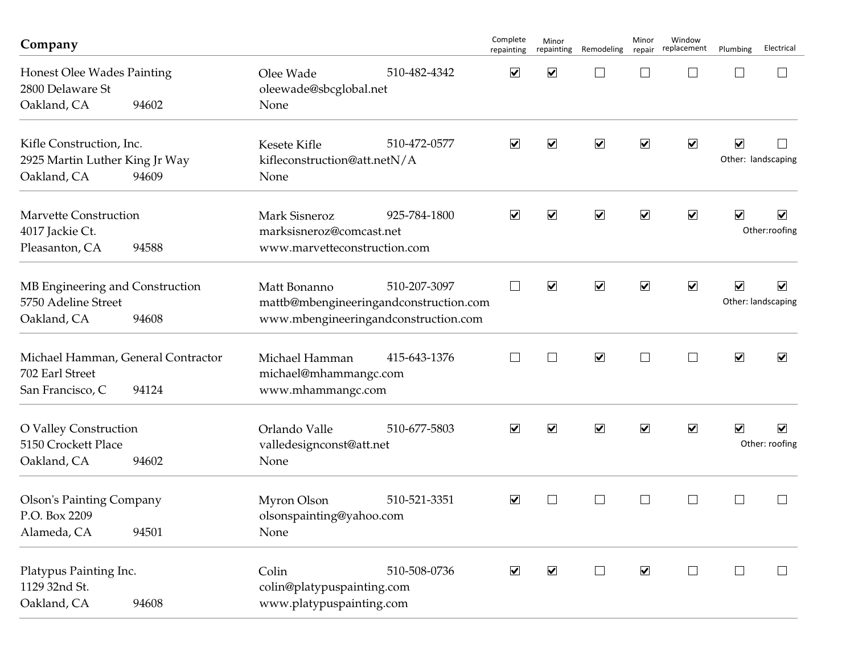| Company                                                                   |       |                                                                                                                | Complete<br>repainting | Minor<br>repainting  | Remodeling                   | Minor<br>repair      | Window<br>replacement       | Plumbing             | Electrical                                 |
|---------------------------------------------------------------------------|-------|----------------------------------------------------------------------------------------------------------------|------------------------|----------------------|------------------------------|----------------------|-----------------------------|----------------------|--------------------------------------------|
| Honest Olee Wades Painting<br>2800 Delaware St<br>Oakland, CA             | 94602 | 510-482-4342<br>Olee Wade<br>oleewade@sbcglobal.net<br>None                                                    | $\blacktriangledown$   | $\blacktriangledown$ | ⊔                            | $\Box$               |                             |                      |                                            |
| Kifle Construction, Inc.<br>2925 Martin Luther King Jr Way<br>Oakland, CA | 94609 | 510-472-0577<br>Kesete Kifle<br>kifleconstruction@att.netN/A<br>None                                           | $\blacktriangledown$   | $\blacktriangledown$ | $\boxed{\blacktriangledown}$ | $\blacktriangledown$ | $\blacktriangledown$        | $\blacktriangledown$ | Other: landscaping                         |
| <b>Marvette Construction</b><br>4017 Jackie Ct.<br>Pleasanton, CA         | 94588 | 925-784-1800<br><b>Mark Sisneroz</b><br>marksisneroz@comcast.net<br>www.marvetteconstruction.com               | $\blacktriangledown$   | $\blacktriangledown$ | $\blacktriangledown$         | $\blacktriangledown$ | $\blacktriangledown$        | $\blacktriangledown$ | $\blacktriangledown$<br>Other:roofing      |
| MB Engineering and Construction<br>5750 Adeline Street<br>Oakland, CA     | 94608 | 510-207-3097<br>Matt Bonanno<br>mattb@mbengineeringandconstruction.com<br>www.mbengineeringandconstruction.com | $\Box$                 | $\blacktriangledown$ | $\boxed{\blacktriangledown}$ | $\blacktriangledown$ | $\blacktriangledown$        | $\blacktriangledown$ | $\blacktriangledown$<br>Other: landscaping |
| Michael Hamman, General Contractor<br>702 Earl Street<br>San Francisco, C | 94124 | Michael Hamman<br>415-643-1376<br>michael@mhammangc.com<br>www.mhammangc.com                                   | $\mathbf{L}$           | $\vert \ \ \vert$    | $\blacktriangledown$         | $\Box$               | $\mathcal{L}_{\mathcal{A}}$ | $\blacktriangledown$ | $\blacktriangledown$                       |
| O Valley Construction<br>5150 Crockett Place<br>Oakland, CA               | 94602 | 510-677-5803<br>Orlando Valle<br>valledesignconst@att.net<br>None                                              | $\blacktriangledown$   | $\blacktriangledown$ | $\boxed{\blacktriangledown}$ | $\blacktriangledown$ | $\blacktriangledown$        | $\blacktriangledown$ | $\blacktriangledown$<br>Other: roofing     |
| <b>Olson's Painting Company</b><br>P.O. Box 2209<br>Alameda, CA           | 94501 | 510-521-3351<br>Myron Olson<br>olsonspainting@yahoo.com<br>None                                                | $\blacktriangledown$   | $\vert \ \ \vert$    | $\Box$                       | $\perp$              | $\vert \ \ \vert$           |                      |                                            |
| Platypus Painting Inc.<br>1129 32nd St.<br>Oakland, CA                    | 94608 | 510-508-0736<br>Colin<br>colin@platypuspainting.com<br>www.platypuspainting.com                                | $\blacktriangledown$   | $\blacktriangledown$ | $\Box$                       | $\blacktriangledown$ | $\Box$                      | $\mathbb{R}^n$       | $\perp$                                    |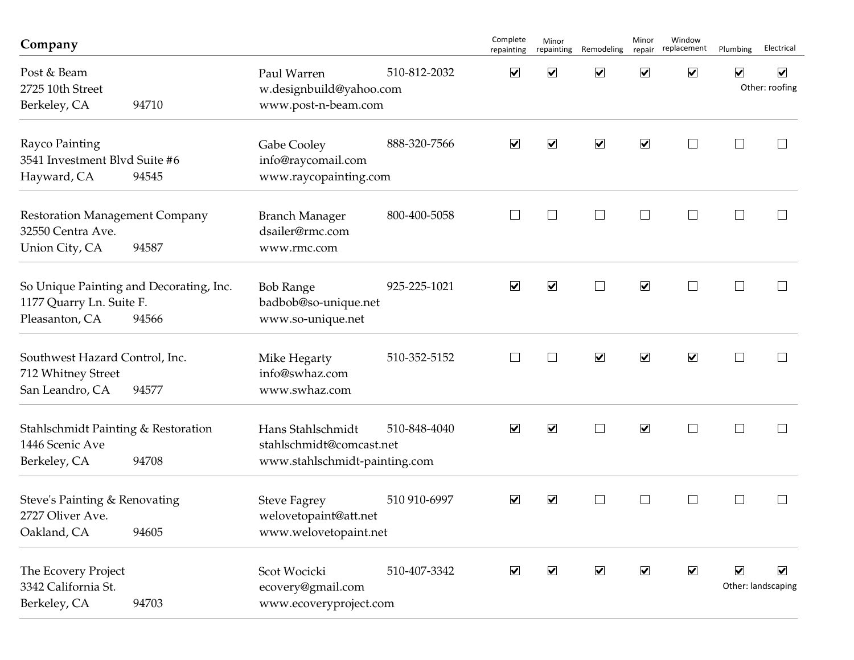| Company                                                                               |       |                                                                                |              | Complete<br>repainting | Minor<br>repainting  | Remodeling              | Minor<br>repair      | Window<br>replacement | Plumbing             | Electrical                                 |
|---------------------------------------------------------------------------------------|-------|--------------------------------------------------------------------------------|--------------|------------------------|----------------------|-------------------------|----------------------|-----------------------|----------------------|--------------------------------------------|
| Post & Beam<br>2725 10th Street<br>Berkeley, CA<br>94710                              |       | 510-812-2032<br>Paul Warren<br>w.designbuild@yahoo.com<br>www.post-n-beam.com  |              | $\blacktriangledown$   | $\blacktriangledown$ | $\blacktriangledown$    | $\blacktriangledown$ | $\blacktriangledown$  | $\blacktriangledown$ | $\blacktriangledown$<br>Other: roofing     |
| Rayco Painting<br>3541 Investment Blvd Suite #6<br>Hayward, CA                        | 94545 | Gabe Cooley<br>info@raycomail.com<br>www.raycopainting.com                     | 888-320-7566 | $\blacktriangledown$   | $\blacktriangledown$ | $\overline{\mathbf{v}}$ | $\blacktriangledown$ | $\vert \ \ \vert$     |                      |                                            |
| <b>Restoration Management Company</b><br>32550 Centra Ave.<br>Union City, CA          | 94587 | <b>Branch Manager</b><br>dsailer@rmc.com<br>www.rmc.com                        | 800-400-5058 | $\Box$                 | $\mathbf{L}$         | $\vert \ \ \vert$       | $\perp$              | $\vert \ \ \vert$     |                      | $\mathcal{L}$                              |
| So Unique Painting and Decorating, Inc.<br>1177 Quarry Ln. Suite F.<br>Pleasanton, CA | 94566 | <b>Bob Range</b><br>badbob@so-unique.net<br>www.so-unique.net                  | 925-225-1021 | $\blacktriangledown$   | $\blacktriangledown$ |                         | $\blacktriangledown$ | П                     |                      |                                            |
| Southwest Hazard Control, Inc.<br>712 Whitney Street<br>San Leandro, CA               | 94577 | Mike Hegarty<br>info@swhaz.com<br>www.swhaz.com                                | 510-352-5152 | $\ $                   | $\vert \ \ \vert$    | $\blacktriangledown$    | $\blacktriangledown$ | $\blacktriangledown$  | $\mathbf{I}$         | $\vert \ \ \vert$                          |
| Stahlschmidt Painting & Restoration<br>1446 Scenic Ave<br>Berkeley, CA                | 94708 | Hans Stahlschmidt<br>stahlschmidt@comcast.net<br>www.stahlschmidt-painting.com | 510-848-4040 | $\blacktriangledown$   | $\blacktriangledown$ | $\mathcal{L}$           | $\blacktriangledown$ | $\Box$                | $\mathbf{I}$         | $\mathcal{L}$                              |
| Steve's Painting & Renovating<br>2727 Oliver Ave.<br>Oakland, CA                      | 94605 | <b>Steve Fagrey</b><br>welovetopaint@att.net<br>www.welovetopaint.net          | 510 910-6997 | $\blacktriangledown$   | $\blacktriangledown$ |                         | $\mathbf{I}$         |                       |                      |                                            |
| The Ecovery Project<br>3342 California St.<br>Berkeley, CA                            | 94703 | Scot Wocicki<br>ecovery@gmail.com<br>www.ecoveryproject.com                    | 510-407-3342 | $\blacktriangledown$   | $\blacktriangledown$ | $\blacktriangledown$    | $\blacktriangledown$ | $\blacktriangledown$  | $\blacktriangledown$ | $\blacktriangledown$<br>Other: landscaping |